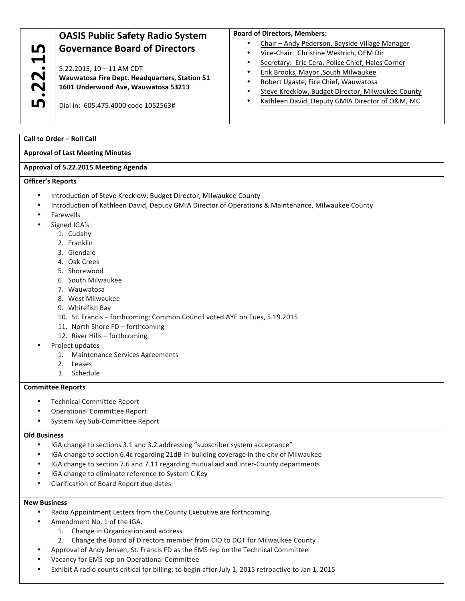|                          | <b>OASIS Public Safety Radio System</b>                                                                                | <b>Board of Directors, Members:</b>               |
|--------------------------|------------------------------------------------------------------------------------------------------------------------|---------------------------------------------------|
| LO                       | <b>Governance Board of Directors</b>                                                                                   | Chair - Andy Pederson, Bayside Village Manager    |
|                          |                                                                                                                        | Vice-Chair: Christine Westrich, OEM Dir           |
|                          | $5.22.2015$ , $10 - 11$ AM CDT<br>Wauwatosa Fire Dept. Headquarters, Station 51<br>1601 Underwood Ave, Wauwatosa 53213 | Secretary: Eric Cera, Police Chief, Hales Corner  |
| $\bullet$<br>$\sim$      |                                                                                                                        | Erik Brooks, Mayor , South Milwaukee              |
|                          |                                                                                                                        | Robert Ugaste, Fire Chief, Wauwatosa              |
| $\mathbf N$<br>$\bullet$ |                                                                                                                        | Steve Krecklow, Budget Director, Milwaukee County |
| LO                       | Dial in: 605.475.4000 code 1052563#                                                                                    | Kathleen David, Deputy GMIA Director of O&M, MC   |

**Call to Order – Roll Call**

## **Approval of Last Meeting Minutes**

#### **Approval of 5.22.2015 Meeting Agenda**

**Officer's Reports**

- Introduction of Steve Krecklow, Budget Director, Milwaukee County
- Introduction of Kathleen David, Deputy GMIA Director of Operations & Maintenance, Milwaukee County
- **Farewells** 
	- Signed IGA's
		- 1. Cudahy
		- 2. Franklin
		- 3. Glendale
		- 4. Oak Creek
		- 5. Shorewood
		- 6. South Milwaukee
		- 7. Wauwatosa
		- 8. West Milwaukee
		- 9. Whitefish Bay
		- 10. St. Francis forthcoming; Common Council voted AYE on Tues, 5.19.2015
		- 11. North Shore FD forthcoming
		- 12. River Hills forthcoming
- Project updates
	- 1. Maintenance Services Agreements
	- 2. Leases
	- 3. Schedule

### **Committee Reports**

- Technical Committee Report
- Operational Committee Report
- System Key Sub-Committee Report

### **Old Business**

- IGA change to sections 3.1 and 3.2 addressing "subscriber system acceptance"
- IGA change to section 6.4c regarding 21dB in-building coverage in the city of Milwaukee
- IGA change to section 7.6 and 7.11 regarding mutual aid and inter-County departments
- IGA change to eliminate reference to System C Key
- Clarification of Board Report due dates

### **New Business**

- Radio Appointment Letters from the County Executive are forthcoming.
- Amendment No. 1 of the IGA.
	- 1. Change in Organization and address
	- 2. Change the Board of Directors member from CIO to DOT for Milwaukee County
- Approval of Andy Jensen, St. Francis FD as the EMS rep on the Technical Committee
- Vacancy for EMS rep on Operational Committee
- Exhibit A radio counts critical for billing; to begin after July 1, 2015 retroactive to Jan 1, 2015